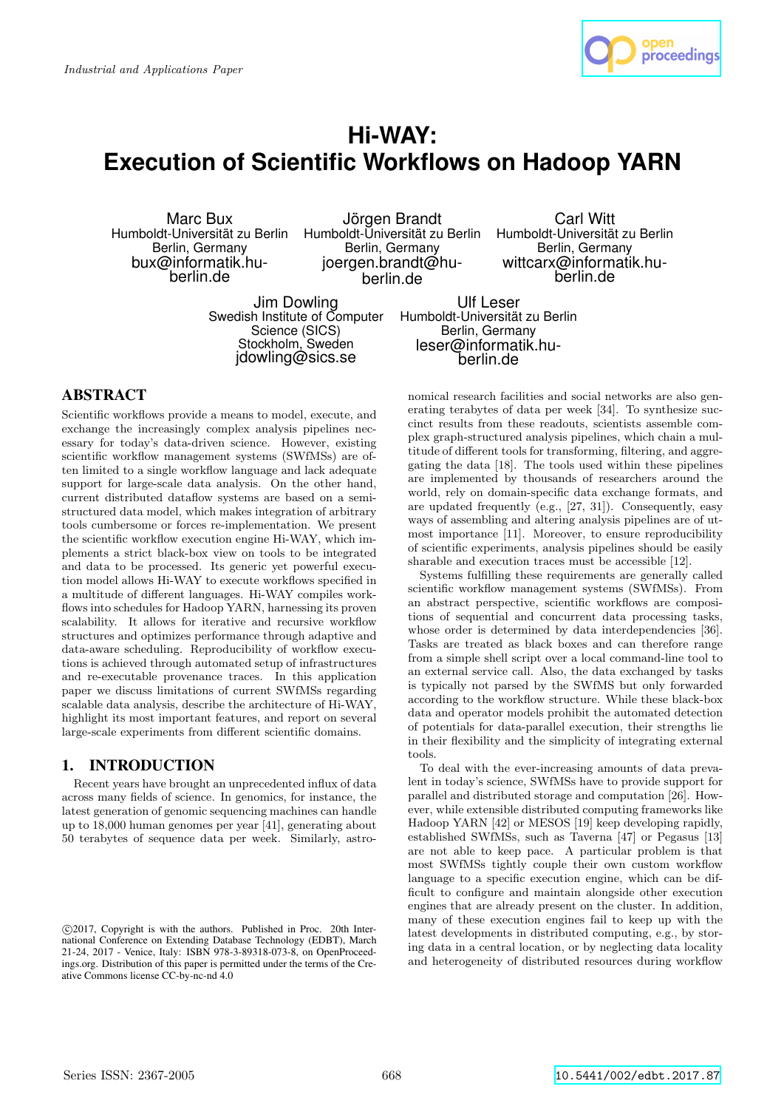

# **Hi-WAY: Execution of Scientific Workflows on Hadoop YARN**

Marc Bux Humboldt-Universität zu Berlin Berlin, Germany bux@informatik.huberlin.de

Jörgen Brandt Humboldt-Universität zu Berlin Berlin, Germany joergen.brandt@huberlin.de

Jim Dowling Swedish Institute of Computer Science (SICS) Stockholm, Sweden idowling@sics.se

Carl Witt Humboldt-Universität zu Berlin Berlin, Germany wittcarx@informatik.huberlin.de

Ulf Leser Humboldt-Universität zu Berlin Berlin, Germany leser@informatik.huberlin.de

# ABSTRACT

Scientific workflows provide a means to model, execute, and exchange the increasingly complex analysis pipelines necessary for today's data-driven science. However, existing scientific workflow management systems (SWfMSs) are often limited to a single workflow language and lack adequate support for large-scale data analysis. On the other hand, current distributed dataflow systems are based on a semistructured data model, which makes integration of arbitrary tools cumbersome or forces re-implementation. We present the scientific workflow execution engine Hi-WAY, which implements a strict black-box view on tools to be integrated and data to be processed. Its generic yet powerful execution model allows Hi-WAY to execute workflows specified in a multitude of different languages. Hi-WAY compiles workflows into schedules for Hadoop YARN, harnessing its proven scalability. It allows for iterative and recursive workflow structures and optimizes performance through adaptive and data-aware scheduling. Reproducibility of workflow executions is achieved through automated setup of infrastructures and re-executable provenance traces. In this application paper we discuss limitations of current SWfMSs regarding scalable data analysis, describe the architecture of Hi-WAY, highlight its most important features, and report on several large-scale experiments from different scientific domains.

# 1. INTRODUCTION

Recent years have brought an unprecedented influx of data across many fields of science. In genomics, for instance, the latest generation of genomic sequencing machines can handle up to 18,000 human genomes per year [41], generating about 50 terabytes of sequence data per week. Similarly, astronomical research facilities and social networks are also generating terabytes of data per week [34]. To synthesize succinct results from these readouts, scientists assemble complex graph-structured analysis pipelines, which chain a multitude of different tools for transforming, filtering, and aggregating the data [18]. The tools used within these pipelines are implemented by thousands of researchers around the world, rely on domain-specific data exchange formats, and are updated frequently (e.g., [27, 31]). Consequently, easy ways of assembling and altering analysis pipelines are of utmost importance [11]. Moreover, to ensure reproducibility of scientific experiments, analysis pipelines should be easily sharable and execution traces must be accessible [12].

Systems fulfilling these requirements are generally called scientific workflow management systems (SWfMSs). From an abstract perspective, scientific workflows are compositions of sequential and concurrent data processing tasks, whose order is determined by data interdependencies [36]. Tasks are treated as black boxes and can therefore range from a simple shell script over a local command-line tool to an external service call. Also, the data exchanged by tasks is typically not parsed by the SWfMS but only forwarded according to the workflow structure. While these black-box data and operator models prohibit the automated detection of potentials for data-parallel execution, their strengths lie in their flexibility and the simplicity of integrating external tools.

To deal with the ever-increasing amounts of data prevalent in today's science, SWfMSs have to provide support for parallel and distributed storage and computation [26]. However, while extensible distributed computing frameworks like Hadoop YARN [42] or MESOS [19] keep developing rapidly, established SWfMSs, such as Taverna [47] or Pegasus [13] are not able to keep pace. A particular problem is that most SWfMSs tightly couple their own custom workflow language to a specific execution engine, which can be difficult to configure and maintain alongside other execution engines that are already present on the cluster. In addition, many of these execution engines fail to keep up with the latest developments in distributed computing, e.g., by storing data in a central location, or by neglecting data locality and heterogeneity of distributed resources during workflow

c 2017, Copyright is with the authors. Published in Proc. 20th International Conference on Extending Database Technology (EDBT), March 21-24, 2017 - Venice, Italy: ISBN 978-3-89318-073-8, on OpenProceedings.org. Distribution of this paper is permitted under the terms of the Creative Commons license CC-by-nc-nd 4.0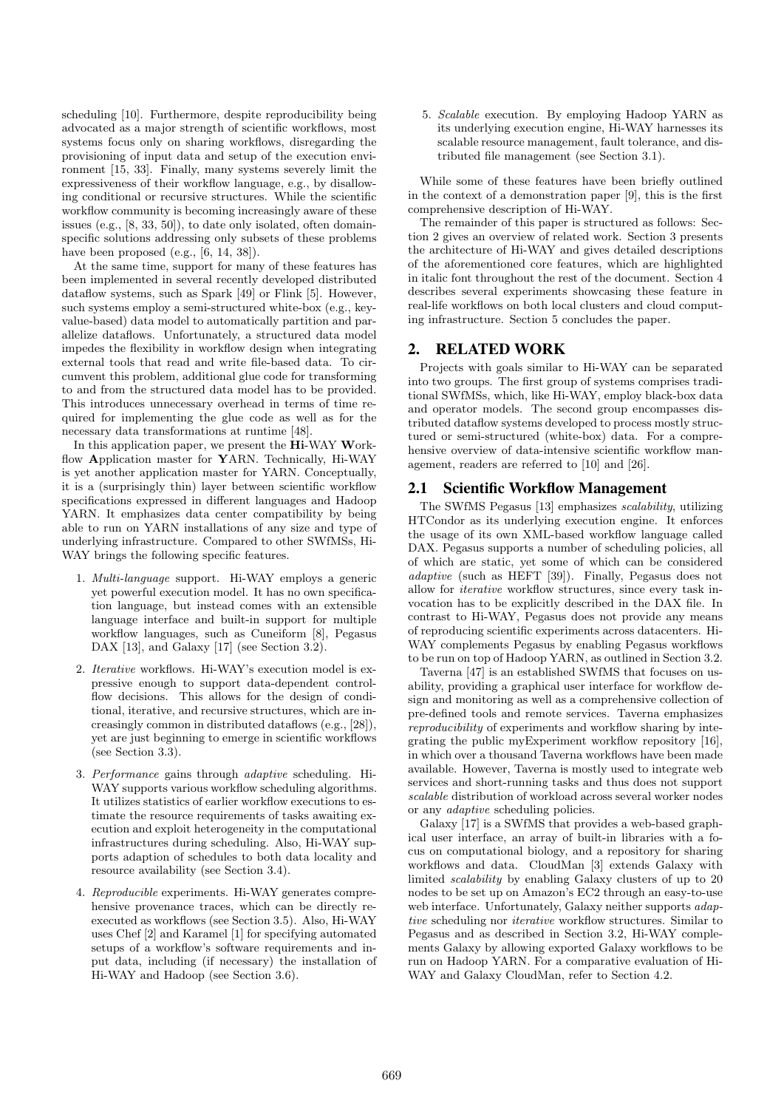scheduling [10]. Furthermore, despite reproducibility being advocated as a major strength of scientific workflows, most systems focus only on sharing workflows, disregarding the provisioning of input data and setup of the execution environment [15, 33]. Finally, many systems severely limit the expressiveness of their workflow language, e.g., by disallowing conditional or recursive structures. While the scientific workflow community is becoming increasingly aware of these issues (e.g., [8, 33, 50]), to date only isolated, often domainspecific solutions addressing only subsets of these problems have been proposed  $(e.g., [6, 14, 38]).$ 

At the same time, support for many of these features has been implemented in several recently developed distributed dataflow systems, such as Spark [49] or Flink [5]. However, such systems employ a semi-structured white-box (e.g., keyvalue-based) data model to automatically partition and parallelize dataflows. Unfortunately, a structured data model impedes the flexibility in workflow design when integrating external tools that read and write file-based data. To circumvent this problem, additional glue code for transforming to and from the structured data model has to be provided. This introduces unnecessary overhead in terms of time required for implementing the glue code as well as for the necessary data transformations at runtime [48].

In this application paper, we present the Hi-WAY Workflow Application master for YARN. Technically, Hi-WAY is yet another application master for YARN. Conceptually, it is a (surprisingly thin) layer between scientific workflow specifications expressed in different languages and Hadoop YARN. It emphasizes data center compatibility by being able to run on YARN installations of any size and type of underlying infrastructure. Compared to other SWfMSs, Hi-WAY brings the following specific features.

- 1. Multi-language support. Hi-WAY employs a generic yet powerful execution model. It has no own specification language, but instead comes with an extensible language interface and built-in support for multiple workflow languages, such as Cuneiform [8], Pegasus DAX [13], and Galaxy [17] (see Section 3.2).
- 2. Iterative workflows. Hi-WAY's execution model is expressive enough to support data-dependent controlflow decisions. This allows for the design of conditional, iterative, and recursive structures, which are increasingly common in distributed dataflows (e.g., [28]), yet are just beginning to emerge in scientific workflows (see Section 3.3).
- 3. Performance gains through adaptive scheduling. Hi-WAY supports various workflow scheduling algorithms. It utilizes statistics of earlier workflow executions to estimate the resource requirements of tasks awaiting execution and exploit heterogeneity in the computational infrastructures during scheduling. Also, Hi-WAY supports adaption of schedules to both data locality and resource availability (see Section 3.4).
- 4. Reproducible experiments. Hi-WAY generates comprehensive provenance traces, which can be directly reexecuted as workflows (see Section 3.5). Also, Hi-WAY uses Chef [2] and Karamel [1] for specifying automated setups of a workflow's software requirements and input data, including (if necessary) the installation of Hi-WAY and Hadoop (see Section 3.6).

5. Scalable execution. By employing Hadoop YARN as its underlying execution engine, Hi-WAY harnesses its scalable resource management, fault tolerance, and distributed file management (see Section 3.1).

While some of these features have been briefly outlined in the context of a demonstration paper [9], this is the first comprehensive description of Hi-WAY.

The remainder of this paper is structured as follows: Section 2 gives an overview of related work. Section 3 presents the architecture of Hi-WAY and gives detailed descriptions of the aforementioned core features, which are highlighted in italic font throughout the rest of the document. Section 4 describes several experiments showcasing these feature in real-life workflows on both local clusters and cloud computing infrastructure. Section 5 concludes the paper.

# 2. RELATED WORK

Projects with goals similar to Hi-WAY can be separated into two groups. The first group of systems comprises traditional SWfMSs, which, like Hi-WAY, employ black-box data and operator models. The second group encompasses distributed dataflow systems developed to process mostly structured or semi-structured (white-box) data. For a comprehensive overview of data-intensive scientific workflow management, readers are referred to [10] and [26].

# 2.1 Scientific Workflow Management

The SWfMS Pegasus [13] emphasizes scalability, utilizing HTCondor as its underlying execution engine. It enforces the usage of its own XML-based workflow language called DAX. Pegasus supports a number of scheduling policies, all of which are static, yet some of which can be considered adaptive (such as HEFT [39]). Finally, Pegasus does not allow for iterative workflow structures, since every task invocation has to be explicitly described in the DAX file. In contrast to Hi-WAY, Pegasus does not provide any means of reproducing scientific experiments across datacenters. Hi-WAY complements Pegasus by enabling Pegasus workflows to be run on top of Hadoop YARN, as outlined in Section 3.2.

Taverna [47] is an established SWfMS that focuses on usability, providing a graphical user interface for workflow design and monitoring as well as a comprehensive collection of pre-defined tools and remote services. Taverna emphasizes reproducibility of experiments and workflow sharing by integrating the public myExperiment workflow repository [16], in which over a thousand Taverna workflows have been made available. However, Taverna is mostly used to integrate web services and short-running tasks and thus does not support scalable distribution of workload across several worker nodes or any adaptive scheduling policies.

Galaxy [17] is a SWfMS that provides a web-based graphical user interface, an array of built-in libraries with a focus on computational biology, and a repository for sharing workflows and data. CloudMan [3] extends Galaxy with limited scalability by enabling Galaxy clusters of up to 20 nodes to be set up on Amazon's EC2 through an easy-to-use web interface. Unfortunately, Galaxy neither supports adaptive scheduling nor iterative workflow structures. Similar to Pegasus and as described in Section 3.2, Hi-WAY complements Galaxy by allowing exported Galaxy workflows to be run on Hadoop YARN. For a comparative evaluation of Hi-WAY and Galaxy CloudMan, refer to Section 4.2.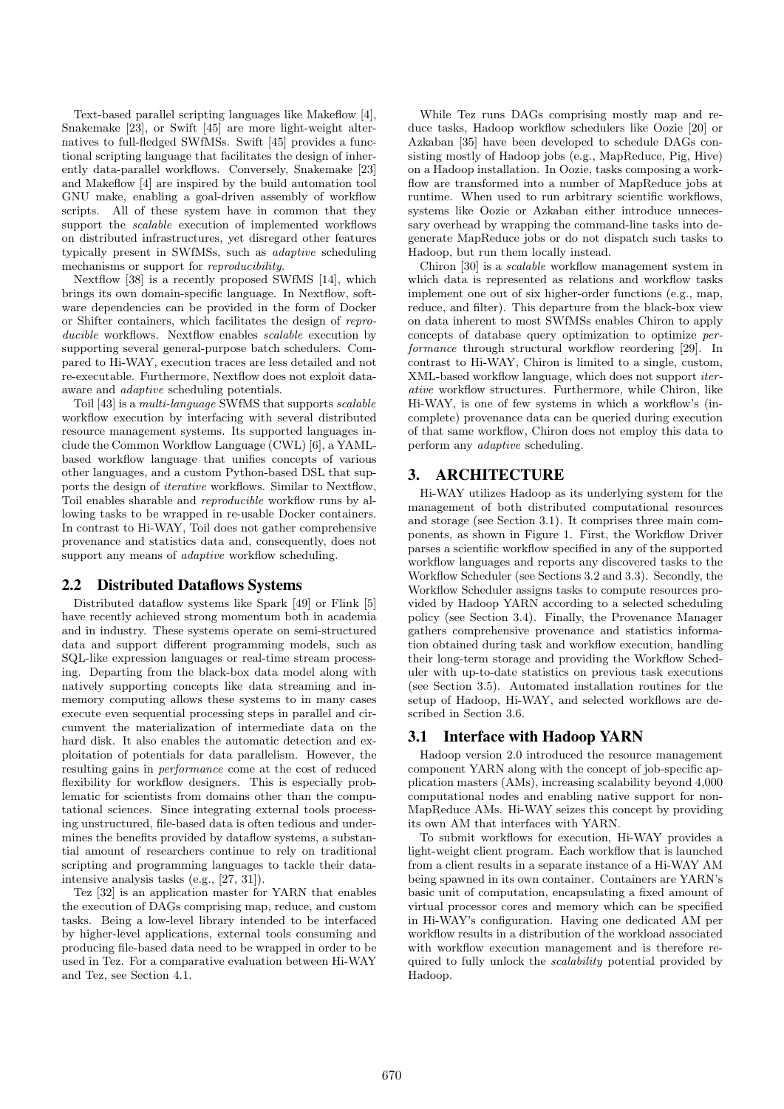Text-based parallel scripting languages like Makeflow [4], Snakemake [23], or Swift [45] are more light-weight alternatives to full-fledged SWfMSs. Swift [45] provides a functional scripting language that facilitates the design of inherently data-parallel workflows. Conversely, Snakemake [23] and Makeflow [4] are inspired by the build automation tool GNU make, enabling a goal-driven assembly of workflow scripts. All of these system have in common that they support the *scalable* execution of implemented workflows on distributed infrastructures, yet disregard other features typically present in SWfMSs, such as adaptive scheduling mechanisms or support for reproducibility.

Nextflow [38] is a recently proposed SWfMS [14], which brings its own domain-specific language. In Nextflow, software dependencies can be provided in the form of Docker or Shifter containers, which facilitates the design of reproducible workflows. Nextflow enables *scalable* execution by supporting several general-purpose batch schedulers. Compared to Hi-WAY, execution traces are less detailed and not re-executable. Furthermore, Nextflow does not exploit dataaware and adaptive scheduling potentials.

Toil [43] is a multi-language SWfMS that supports scalable workflow execution by interfacing with several distributed resource management systems. Its supported languages include the Common Workflow Language (CWL) [6], a YAMLbased workflow language that unifies concepts of various other languages, and a custom Python-based DSL that supports the design of iterative workflows. Similar to Nextflow, Toil enables sharable and reproducible workflow runs by allowing tasks to be wrapped in re-usable Docker containers. In contrast to Hi-WAY, Toil does not gather comprehensive provenance and statistics data and, consequently, does not support any means of *adaptive* workflow scheduling.

## 2.2 Distributed Dataflows Systems

Distributed dataflow systems like Spark [49] or Flink [5] have recently achieved strong momentum both in academia and in industry. These systems operate on semi-structured data and support different programming models, such as SQL-like expression languages or real-time stream processing. Departing from the black-box data model along with natively supporting concepts like data streaming and inmemory computing allows these systems to in many cases execute even sequential processing steps in parallel and circumvent the materialization of intermediate data on the hard disk. It also enables the automatic detection and exploitation of potentials for data parallelism. However, the resulting gains in performance come at the cost of reduced flexibility for workflow designers. This is especially problematic for scientists from domains other than the computational sciences. Since integrating external tools processing unstructured, file-based data is often tedious and undermines the benefits provided by dataflow systems, a substantial amount of researchers continue to rely on traditional scripting and programming languages to tackle their dataintensive analysis tasks (e.g., [27, 31]).

Tez [32] is an application master for YARN that enables the execution of DAGs comprising map, reduce, and custom tasks. Being a low-level library intended to be interfaced by higher-level applications, external tools consuming and producing file-based data need to be wrapped in order to be used in Tez. For a comparative evaluation between Hi-WAY and Tez, see Section 4.1.

While Tez runs DAGs comprising mostly map and reduce tasks, Hadoop workflow schedulers like Oozie [20] or Azkaban [35] have been developed to schedule DAGs consisting mostly of Hadoop jobs (e.g., MapReduce, Pig, Hive) on a Hadoop installation. In Oozie, tasks composing a workflow are transformed into a number of MapReduce jobs at runtime. When used to run arbitrary scientific workflows, systems like Oozie or Azkaban either introduce unnecessary overhead by wrapping the command-line tasks into degenerate MapReduce jobs or do not dispatch such tasks to Hadoop, but run them locally instead.

Chiron [30] is a scalable workflow management system in which data is represented as relations and workflow tasks implement one out of six higher-order functions (e.g., map, reduce, and filter). This departure from the black-box view on data inherent to most SWfMSs enables Chiron to apply concepts of database query optimization to optimize performance through structural workflow reordering [29]. In contrast to Hi-WAY, Chiron is limited to a single, custom, XML-based workflow language, which does not support iterative workflow structures. Furthermore, while Chiron, like Hi-WAY, is one of few systems in which a workflow's (incomplete) provenance data can be queried during execution of that same workflow, Chiron does not employ this data to perform any adaptive scheduling.

# 3. ARCHITECTURE

Hi-WAY utilizes Hadoop as its underlying system for the management of both distributed computational resources and storage (see Section 3.1). It comprises three main components, as shown in Figure 1. First, the Workflow Driver parses a scientific workflow specified in any of the supported workflow languages and reports any discovered tasks to the Workflow Scheduler (see Sections 3.2 and 3.3). Secondly, the Workflow Scheduler assigns tasks to compute resources provided by Hadoop YARN according to a selected scheduling policy (see Section 3.4). Finally, the Provenance Manager gathers comprehensive provenance and statistics information obtained during task and workflow execution, handling their long-term storage and providing the Workflow Scheduler with up-to-date statistics on previous task executions (see Section 3.5). Automated installation routines for the setup of Hadoop, Hi-WAY, and selected workflows are described in Section 3.6.

## 3.1 Interface with Hadoop YARN

Hadoop version 2.0 introduced the resource management component YARN along with the concept of job-specific application masters (AMs), increasing scalability beyond 4,000 computational nodes and enabling native support for non-MapReduce AMs. Hi-WAY seizes this concept by providing its own AM that interfaces with YARN.

To submit workflows for execution, Hi-WAY provides a light-weight client program. Each workflow that is launched from a client results in a separate instance of a Hi-WAY AM being spawned in its own container. Containers are YARN's basic unit of computation, encapsulating a fixed amount of virtual processor cores and memory which can be specified in Hi-WAY's configuration. Having one dedicated AM per workflow results in a distribution of the workload associated with workflow execution management and is therefore required to fully unlock the scalability potential provided by Hadoop.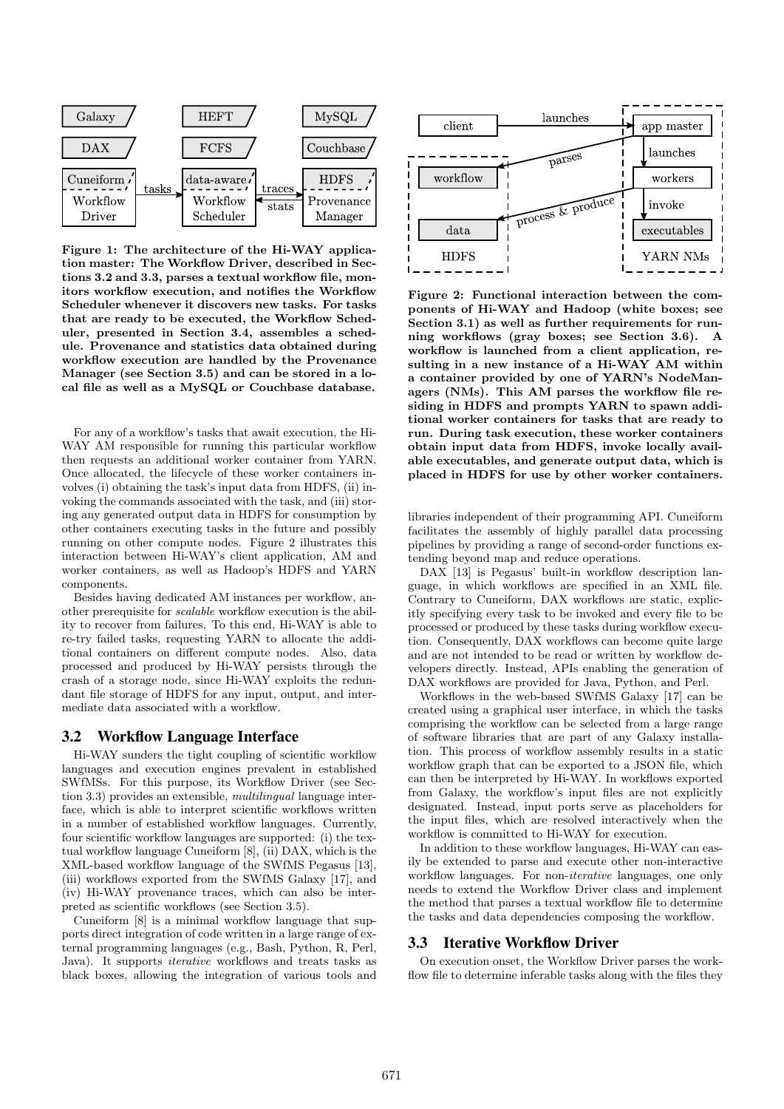

Figure 1: The architecture of the Hi-WAY application master: The Workflow Driver, described in Sections 3.2 and 3.3, parses a textual workflow file, monitors workflow execution, and notifies the Workflow Scheduler whenever it discovers new tasks. For tasks that are ready to be executed, the Workflow Scheduler, presented in Section 3.4, assembles a schedule. Provenance and statistics data obtained during workflow execution are handled by the Provenance Manager (see Section 3.5) and can be stored in a local file as well as a MySQL or Couchbase database.

For any of a workflow's tasks that await execution, the Hi-WAY AM responsible for running this particular workflow then requests an additional worker container from YARN. Once allocated, the lifecycle of these worker containers involves (i) obtaining the task's input data from HDFS, (ii) invoking the commands associated with the task, and (iii) storing any generated output data in HDFS for consumption by other containers executing tasks in the future and possibly running on other compute nodes. Figure 2 illustrates this interaction between Hi-WAY's client application, AM and worker containers, as well as Hadoop's HDFS and YARN components.

Besides having dedicated AM instances per workflow, another prerequisite for scalable workflow execution is the ability to recover from failures. To this end, Hi-WAY is able to re-try failed tasks, requesting YARN to allocate the additional containers on different compute nodes. Also, data processed and produced by Hi-WAY persists through the crash of a storage node, since Hi-WAY exploits the redundant file storage of HDFS for any input, output, and intermediate data associated with a workflow.

## 3.2 Workflow Language Interface

Hi-WAY sunders the tight coupling of scientific workflow languages and execution engines prevalent in established SWfMSs. For this purpose, its Workflow Driver (see Section 3.3) provides an extensible, multilingual language interface, which is able to interpret scientific workflows written in a number of established workflow languages. Currently, four scientific workflow languages are supported: (i) the textual workflow language Cuneiform [8], (ii) DAX, which is the XML-based workflow language of the SWfMS Pegasus [13], (iii) workflows exported from the SWfMS Galaxy [17], and (iv) Hi-WAY provenance traces, which can also be interpreted as scientific workflows (see Section 3.5).

Cuneiform [8] is a minimal workflow language that supports direct integration of code written in a large range of external programming languages (e.g., Bash, Python, R, Perl, Java). It supports iterative workflows and treats tasks as black boxes, allowing the integration of various tools and



Figure 2: Functional interaction between the components of Hi-WAY and Hadoop (white boxes; see Section 3.1) as well as further requirements for running workflows (gray boxes; see Section 3.6). A workflow is launched from a client application, resulting in a new instance of a Hi-WAY AM within a container provided by one of YARN's NodeManagers (NMs). This AM parses the workflow file residing in HDFS and prompts YARN to spawn additional worker containers for tasks that are ready to run. During task execution, these worker containers obtain input data from HDFS, invoke locally available executables, and generate output data, which is placed in HDFS for use by other worker containers.

libraries independent of their programming API. Cuneiform facilitates the assembly of highly parallel data processing pipelines by providing a range of second-order functions extending beyond map and reduce operations.

DAX [13] is Pegasus' built-in workflow description language, in which workflows are specified in an XML file. Contrary to Cuneiform, DAX workflows are static, explicitly specifying every task to be invoked and every file to be processed or produced by these tasks during workflow execution. Consequently, DAX workflows can become quite large and are not intended to be read or written by workflow developers directly. Instead, APIs enabling the generation of DAX workflows are provided for Java, Python, and Perl.

Workflows in the web-based SWfMS Galaxy [17] can be created using a graphical user interface, in which the tasks comprising the workflow can be selected from a large range of software libraries that are part of any Galaxy installation. This process of workflow assembly results in a static workflow graph that can be exported to a JSON file, which can then be interpreted by Hi-WAY. In workflows exported from Galaxy, the workflow's input files are not explicitly designated. Instead, input ports serve as placeholders for the input files, which are resolved interactively when the workflow is committed to Hi-WAY for execution.

In addition to these workflow languages, Hi-WAY can easily be extended to parse and execute other non-interactive workflow languages. For non-iterative languages, one only needs to extend the Workflow Driver class and implement the method that parses a textual workflow file to determine the tasks and data dependencies composing the workflow.

# 3.3 Iterative Workflow Driver

On execution onset, the Workflow Driver parses the workflow file to determine inferable tasks along with the files they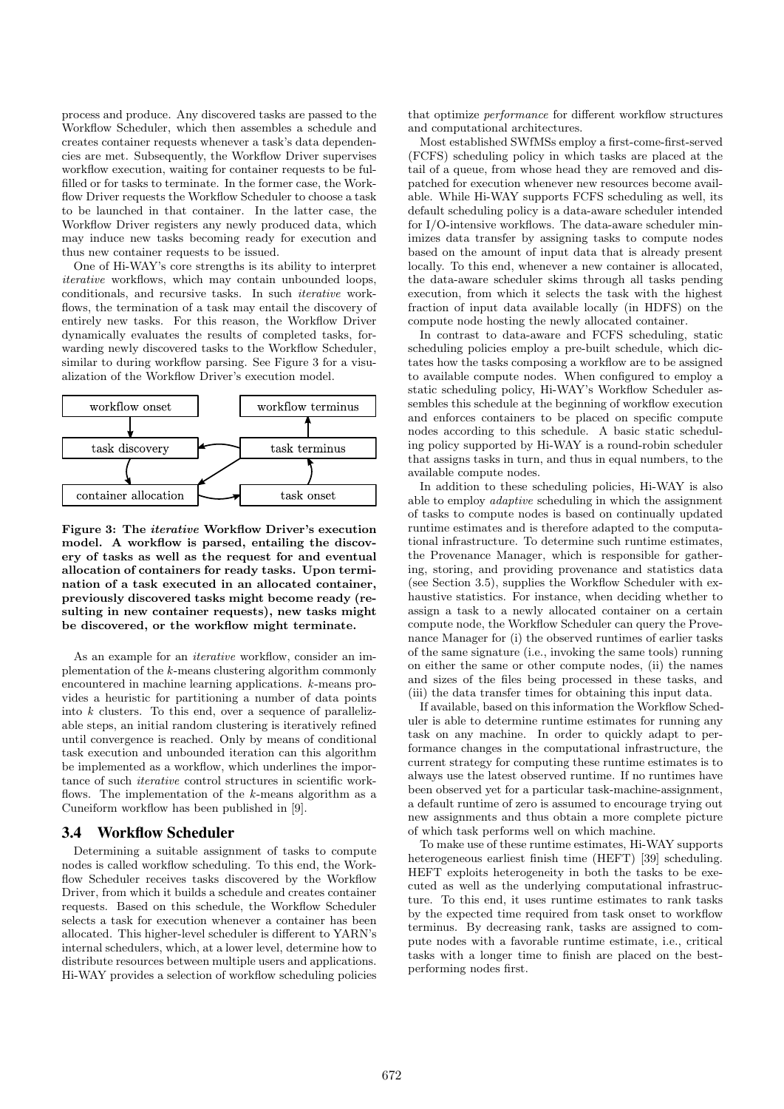process and produce. Any discovered tasks are passed to the Workflow Scheduler, which then assembles a schedule and creates container requests whenever a task's data dependencies are met. Subsequently, the Workflow Driver supervises workflow execution, waiting for container requests to be fulfilled or for tasks to terminate. In the former case, the Workflow Driver requests the Workflow Scheduler to choose a task to be launched in that container. In the latter case, the Workflow Driver registers any newly produced data, which may induce new tasks becoming ready for execution and thus new container requests to be issued.

One of Hi-WAY's core strengths is its ability to interpret iterative workflows, which may contain unbounded loops, conditionals, and recursive tasks. In such iterative workflows, the termination of a task may entail the discovery of entirely new tasks. For this reason, the Workflow Driver dynamically evaluates the results of completed tasks, forwarding newly discovered tasks to the Workflow Scheduler, similar to during workflow parsing. See Figure 3 for a visualization of the Workflow Driver's execution model.



Figure 3: The iterative Workflow Driver's execution model. A workflow is parsed, entailing the discovery of tasks as well as the request for and eventual allocation of containers for ready tasks. Upon termination of a task executed in an allocated container, previously discovered tasks might become ready (resulting in new container requests), new tasks might be discovered, or the workflow might terminate.

As an example for an iterative workflow, consider an implementation of the k-means clustering algorithm commonly encountered in machine learning applications. k-means provides a heuristic for partitioning a number of data points into k clusters. To this end, over a sequence of parallelizable steps, an initial random clustering is iteratively refined until convergence is reached. Only by means of conditional task execution and unbounded iteration can this algorithm be implemented as a workflow, which underlines the importance of such iterative control structures in scientific workflows. The implementation of the  $k$ -means algorithm as a Cuneiform workflow has been published in [9].

## 3.4 Workflow Scheduler

Determining a suitable assignment of tasks to compute nodes is called workflow scheduling. To this end, the Workflow Scheduler receives tasks discovered by the Workflow Driver, from which it builds a schedule and creates container requests. Based on this schedule, the Workflow Scheduler selects a task for execution whenever a container has been allocated. This higher-level scheduler is different to YARN's internal schedulers, which, at a lower level, determine how to distribute resources between multiple users and applications. Hi-WAY provides a selection of workflow scheduling policies

that optimize performance for different workflow structures and computational architectures.

Most established SWfMSs employ a first-come-first-served (FCFS) scheduling policy in which tasks are placed at the tail of a queue, from whose head they are removed and dispatched for execution whenever new resources become available. While Hi-WAY supports FCFS scheduling as well, its default scheduling policy is a data-aware scheduler intended for I/O-intensive workflows. The data-aware scheduler minimizes data transfer by assigning tasks to compute nodes based on the amount of input data that is already present locally. To this end, whenever a new container is allocated, the data-aware scheduler skims through all tasks pending execution, from which it selects the task with the highest fraction of input data available locally (in HDFS) on the compute node hosting the newly allocated container.

In contrast to data-aware and FCFS scheduling, static scheduling policies employ a pre-built schedule, which dictates how the tasks composing a workflow are to be assigned to available compute nodes. When configured to employ a static scheduling policy, Hi-WAY's Workflow Scheduler assembles this schedule at the beginning of workflow execution and enforces containers to be placed on specific compute nodes according to this schedule. A basic static scheduling policy supported by Hi-WAY is a round-robin scheduler that assigns tasks in turn, and thus in equal numbers, to the available compute nodes.

In addition to these scheduling policies, Hi-WAY is also able to employ adaptive scheduling in which the assignment of tasks to compute nodes is based on continually updated runtime estimates and is therefore adapted to the computational infrastructure. To determine such runtime estimates, the Provenance Manager, which is responsible for gathering, storing, and providing provenance and statistics data (see Section 3.5), supplies the Workflow Scheduler with exhaustive statistics. For instance, when deciding whether to assign a task to a newly allocated container on a certain compute node, the Workflow Scheduler can query the Provenance Manager for (i) the observed runtimes of earlier tasks of the same signature (i.e., invoking the same tools) running on either the same or other compute nodes, (ii) the names and sizes of the files being processed in these tasks, and (iii) the data transfer times for obtaining this input data.

If available, based on this information the Workflow Scheduler is able to determine runtime estimates for running any task on any machine. In order to quickly adapt to performance changes in the computational infrastructure, the current strategy for computing these runtime estimates is to always use the latest observed runtime. If no runtimes have been observed yet for a particular task-machine-assignment, a default runtime of zero is assumed to encourage trying out new assignments and thus obtain a more complete picture of which task performs well on which machine.

To make use of these runtime estimates, Hi-WAY supports heterogeneous earliest finish time (HEFT) [39] scheduling. HEFT exploits heterogeneity in both the tasks to be executed as well as the underlying computational infrastructure. To this end, it uses runtime estimates to rank tasks by the expected time required from task onset to workflow terminus. By decreasing rank, tasks are assigned to compute nodes with a favorable runtime estimate, i.e., critical tasks with a longer time to finish are placed on the bestperforming nodes first.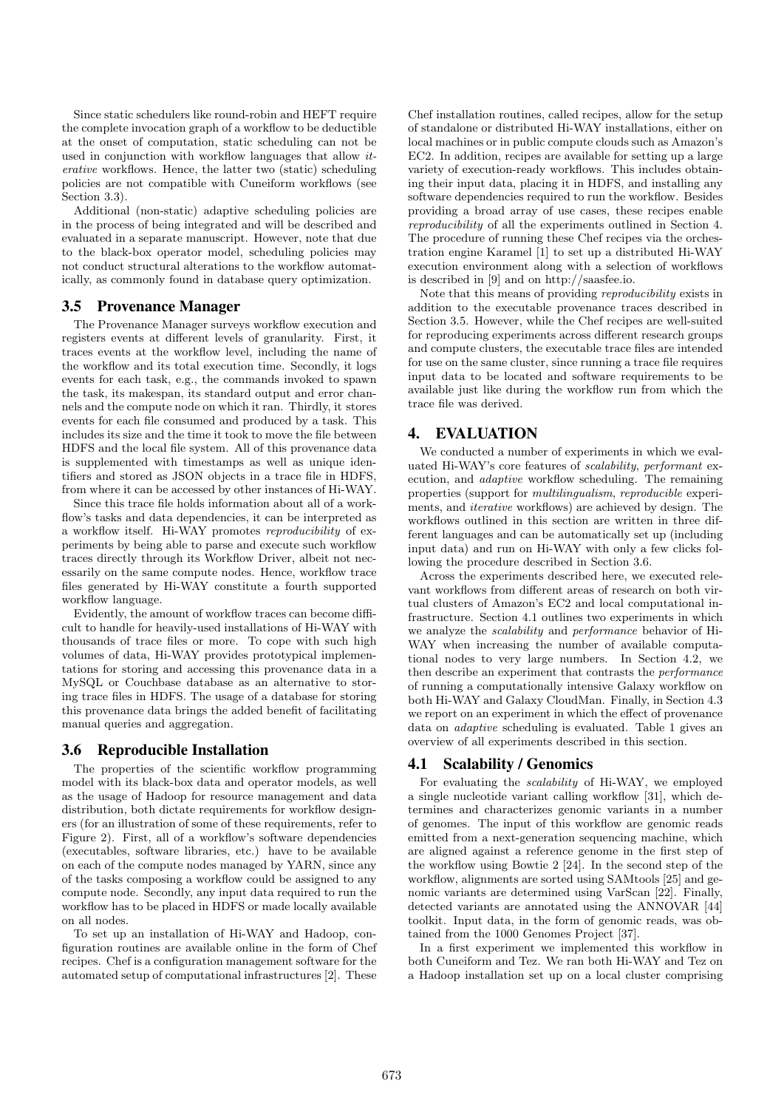Since static schedulers like round-robin and HEFT require the complete invocation graph of a workflow to be deductible at the onset of computation, static scheduling can not be used in conjunction with workflow languages that allow iterative workflows. Hence, the latter two (static) scheduling policies are not compatible with Cuneiform workflows (see Section 3.3).

Additional (non-static) adaptive scheduling policies are in the process of being integrated and will be described and evaluated in a separate manuscript. However, note that due to the black-box operator model, scheduling policies may not conduct structural alterations to the workflow automatically, as commonly found in database query optimization.

## 3.5 Provenance Manager

The Provenance Manager surveys workflow execution and registers events at different levels of granularity. First, it traces events at the workflow level, including the name of the workflow and its total execution time. Secondly, it logs events for each task, e.g., the commands invoked to spawn the task, its makespan, its standard output and error channels and the compute node on which it ran. Thirdly, it stores events for each file consumed and produced by a task. This includes its size and the time it took to move the file between HDFS and the local file system. All of this provenance data is supplemented with timestamps as well as unique identifiers and stored as JSON objects in a trace file in HDFS, from where it can be accessed by other instances of Hi-WAY.

Since this trace file holds information about all of a workflow's tasks and data dependencies, it can be interpreted as a workflow itself. Hi-WAY promotes reproducibility of experiments by being able to parse and execute such workflow traces directly through its Workflow Driver, albeit not necessarily on the same compute nodes. Hence, workflow trace files generated by Hi-WAY constitute a fourth supported workflow language.

Evidently, the amount of workflow traces can become difficult to handle for heavily-used installations of Hi-WAY with thousands of trace files or more. To cope with such high volumes of data, Hi-WAY provides prototypical implementations for storing and accessing this provenance data in a MySQL or Couchbase database as an alternative to storing trace files in HDFS. The usage of a database for storing this provenance data brings the added benefit of facilitating manual queries and aggregation.

## 3.6 Reproducible Installation

The properties of the scientific workflow programming model with its black-box data and operator models, as well as the usage of Hadoop for resource management and data distribution, both dictate requirements for workflow designers (for an illustration of some of these requirements, refer to Figure 2). First, all of a workflow's software dependencies (executables, software libraries, etc.) have to be available on each of the compute nodes managed by YARN, since any of the tasks composing a workflow could be assigned to any compute node. Secondly, any input data required to run the workflow has to be placed in HDFS or made locally available on all nodes.

To set up an installation of Hi-WAY and Hadoop, configuration routines are available online in the form of Chef recipes. Chef is a configuration management software for the automated setup of computational infrastructures [2]. These

Chef installation routines, called recipes, allow for the setup of standalone or distributed Hi-WAY installations, either on local machines or in public compute clouds such as Amazon's EC2. In addition, recipes are available for setting up a large variety of execution-ready workflows. This includes obtaining their input data, placing it in HDFS, and installing any software dependencies required to run the workflow. Besides providing a broad array of use cases, these recipes enable reproducibility of all the experiments outlined in Section 4. The procedure of running these Chef recipes via the orchestration engine Karamel [1] to set up a distributed Hi-WAY execution environment along with a selection of workflows is described in [9] and on http://saasfee.io.

Note that this means of providing reproducibility exists in addition to the executable provenance traces described in Section 3.5. However, while the Chef recipes are well-suited for reproducing experiments across different research groups and compute clusters, the executable trace files are intended for use on the same cluster, since running a trace file requires input data to be located and software requirements to be available just like during the workflow run from which the trace file was derived.

# 4. EVALUATION

We conducted a number of experiments in which we evaluated Hi-WAY's core features of scalability, performant execution, and adaptive workflow scheduling. The remaining properties (support for multilingualism, reproducible experiments, and iterative workflows) are achieved by design. The workflows outlined in this section are written in three different languages and can be automatically set up (including input data) and run on Hi-WAY with only a few clicks following the procedure described in Section 3.6.

Across the experiments described here, we executed relevant workflows from different areas of research on both virtual clusters of Amazon's EC2 and local computational infrastructure. Section 4.1 outlines two experiments in which we analyze the scalability and performance behavior of Hi-WAY when increasing the number of available computational nodes to very large numbers. In Section 4.2, we then describe an experiment that contrasts the performance of running a computationally intensive Galaxy workflow on both Hi-WAY and Galaxy CloudMan. Finally, in Section 4.3 we report on an experiment in which the effect of provenance data on adaptive scheduling is evaluated. Table 1 gives an overview of all experiments described in this section.

## 4.1 Scalability / Genomics

For evaluating the scalability of Hi-WAY, we employed a single nucleotide variant calling workflow [31], which determines and characterizes genomic variants in a number of genomes. The input of this workflow are genomic reads emitted from a next-generation sequencing machine, which are aligned against a reference genome in the first step of the workflow using Bowtie 2 [24]. In the second step of the workflow, alignments are sorted using SAMtools [25] and genomic variants are determined using VarScan [22]. Finally, detected variants are annotated using the ANNOVAR [44] toolkit. Input data, in the form of genomic reads, was obtained from the 1000 Genomes Project [37].

In a first experiment we implemented this workflow in both Cuneiform and Tez. We ran both Hi-WAY and Tez on a Hadoop installation set up on a local cluster comprising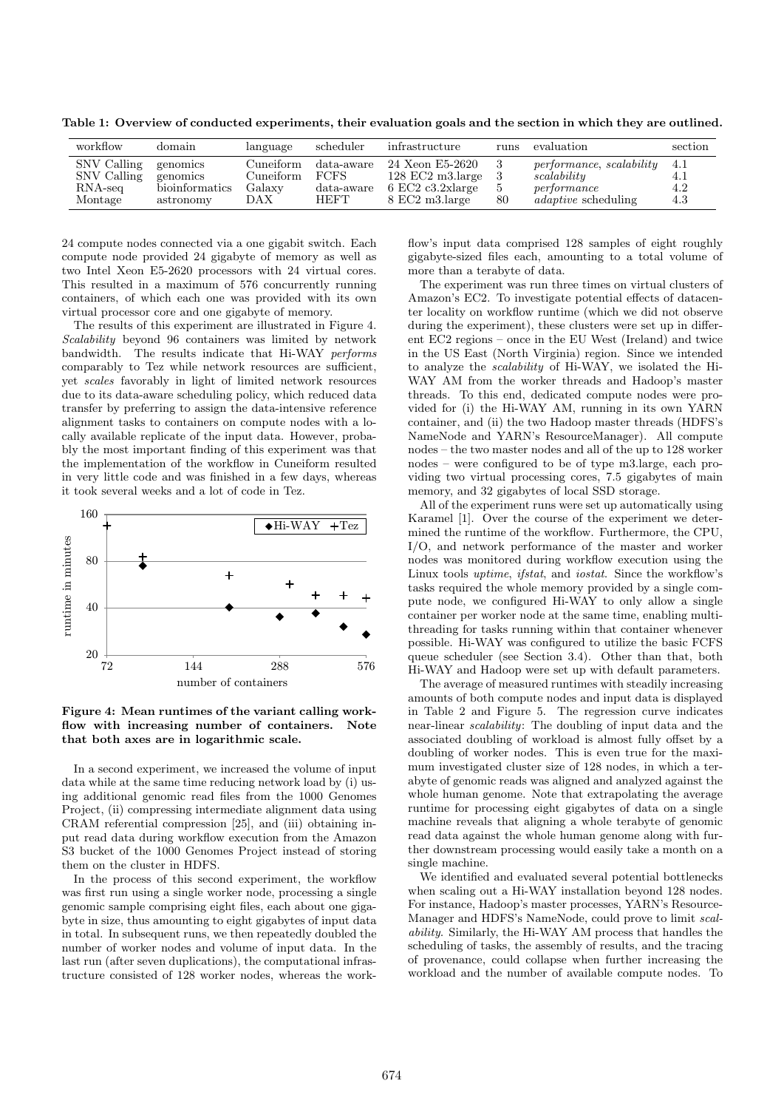Table 1: Overview of conducted experiments, their evaluation goals and the section in which they are outlined.

| workflow                                                      | domain                                              | language                                | scheduler                                          | infrastructure                                                                                          | runs     | evaluation                                                                           | section                  |
|---------------------------------------------------------------|-----------------------------------------------------|-----------------------------------------|----------------------------------------------------|---------------------------------------------------------------------------------------------------------|----------|--------------------------------------------------------------------------------------|--------------------------|
| SNV Calling<br>SNV Calling<br>$\rm RNA\text{-}seq$<br>Montage | genomics<br>genomics<br>bioinformatics<br>astronomy | Cuneiform<br>Cuneiform<br>Galaxy<br>DAX | $data$ -aware<br><b>FCFS</b><br>data-aware<br>HEFT | 24 Xeon E5-2620<br>$128$ EC2 m3. large<br>$6$ EC2 c3.2xlarge<br>$8 \text{ EC}2 \text{ m}3.\text{large}$ | 5.<br>80 | performance, scalability<br>scalability<br>performance<br><i>adaptive</i> scheduling | 4.1<br>4.1<br>4.2<br>4.3 |

24 compute nodes connected via a one gigabit switch. Each compute node provided 24 gigabyte of memory as well as two Intel Xeon E5-2620 processors with 24 virtual cores. This resulted in a maximum of 576 concurrently running containers, of which each one was provided with its own virtual processor core and one gigabyte of memory.

The results of this experiment are illustrated in Figure 4. Scalability beyond 96 containers was limited by network bandwidth. The results indicate that Hi-WAY performs comparably to Tez while network resources are sufficient, yet scales favorably in light of limited network resources due to its data-aware scheduling policy, which reduced data transfer by preferring to assign the data-intensive reference alignment tasks to containers on compute nodes with a locally available replicate of the input data. However, probably the most important finding of this experiment was that the implementation of the workflow in Cuneiform resulted in very little code and was finished in a few days, whereas it took several weeks and a lot of code in Tez.



Figure 4: Mean runtimes of the variant calling workflow with increasing number of containers. Note that both axes are in logarithmic scale.

In a second experiment, we increased the volume of input data while at the same time reducing network load by (i) using additional genomic read files from the 1000 Genomes Project, (ii) compressing intermediate alignment data using CRAM referential compression [25], and (iii) obtaining input read data during workflow execution from the Amazon S3 bucket of the 1000 Genomes Project instead of storing them on the cluster in HDFS.

In the process of this second experiment, the workflow was first run using a single worker node, processing a single genomic sample comprising eight files, each about one gigabyte in size, thus amounting to eight gigabytes of input data in total. In subsequent runs, we then repeatedly doubled the number of worker nodes and volume of input data. In the last run (after seven duplications), the computational infrastructure consisted of 128 worker nodes, whereas the workflow's input data comprised 128 samples of eight roughly gigabyte-sized files each, amounting to a total volume of more than a terabyte of data.

The experiment was run three times on virtual clusters of Amazon's EC2. To investigate potential effects of datacenter locality on workflow runtime (which we did not observe during the experiment), these clusters were set up in different EC2 regions – once in the EU West (Ireland) and twice in the US East (North Virginia) region. Since we intended to analyze the scalability of Hi-WAY, we isolated the Hi-WAY AM from the worker threads and Hadoop's master threads. To this end, dedicated compute nodes were provided for (i) the Hi-WAY AM, running in its own YARN container, and (ii) the two Hadoop master threads (HDFS's NameNode and YARN's ResourceManager). All compute nodes – the two master nodes and all of the up to 128 worker nodes – were configured to be of type m3.large, each providing two virtual processing cores, 7.5 gigabytes of main memory, and 32 gigabytes of local SSD storage.

All of the experiment runs were set up automatically using Karamel [1]. Over the course of the experiment we determined the runtime of the workflow. Furthermore, the CPU, I/O, and network performance of the master and worker nodes was monitored during workflow execution using the Linux tools uptime, ifstat, and iostat. Since the workflow's tasks required the whole memory provided by a single compute node, we configured Hi-WAY to only allow a single container per worker node at the same time, enabling multithreading for tasks running within that container whenever possible. Hi-WAY was configured to utilize the basic FCFS queue scheduler (see Section 3.4). Other than that, both Hi-WAY and Hadoop were set up with default parameters.

The average of measured runtimes with steadily increasing amounts of both compute nodes and input data is displayed in Table 2 and Figure 5. The regression curve indicates near-linear scalability: The doubling of input data and the associated doubling of workload is almost fully offset by a doubling of worker nodes. This is even true for the maximum investigated cluster size of 128 nodes, in which a terabyte of genomic reads was aligned and analyzed against the whole human genome. Note that extrapolating the average runtime for processing eight gigabytes of data on a single machine reveals that aligning a whole terabyte of genomic read data against the whole human genome along with further downstream processing would easily take a month on a single machine.

We identified and evaluated several potential bottlenecks when scaling out a Hi-WAY installation beyond 128 nodes. For instance, Hadoop's master processes, YARN's Resource-Manager and HDFS's NameNode, could prove to limit scalability. Similarly, the Hi-WAY AM process that handles the scheduling of tasks, the assembly of results, and the tracing of provenance, could collapse when further increasing the workload and the number of available compute nodes. To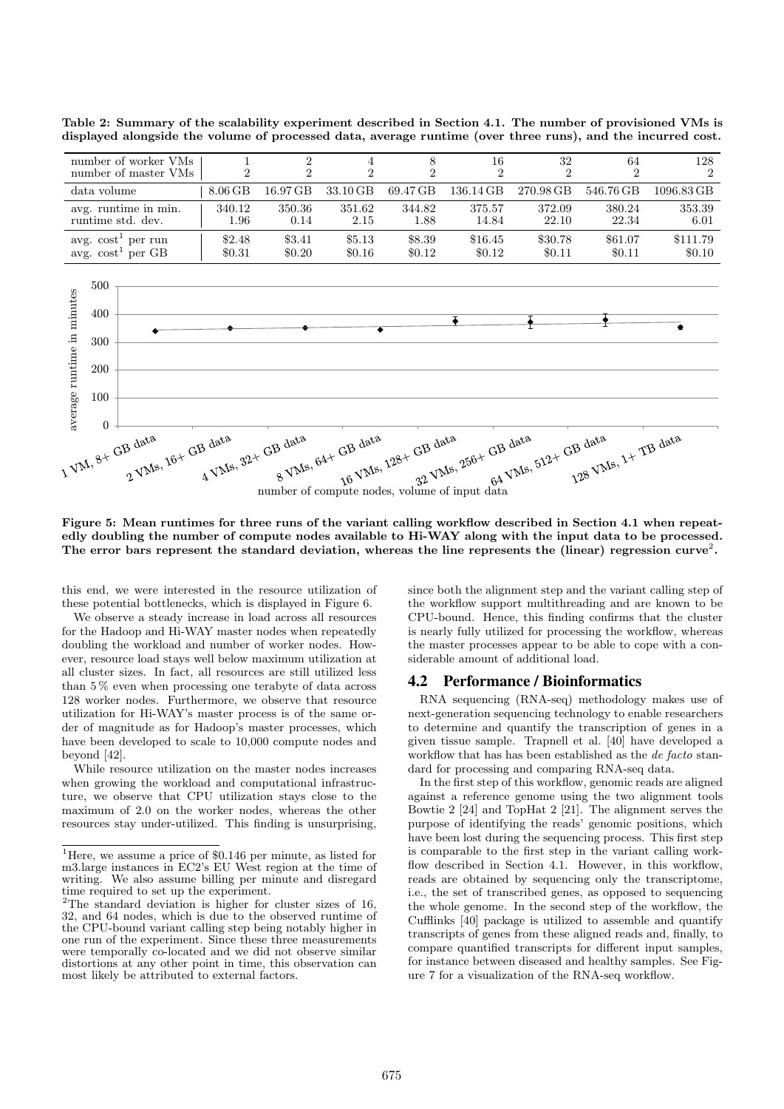Table 2: Summary of the scalability experiment described in Section 4.1. The number of provisioned VMs is displayed alongside the volume of processed data, average runtime (over three runs), and the incurred cost.

| number of worker VMs<br>number of master VMs                                                                                                                                                                               |  | 1<br>$\overline{2}$ | $\overline{2}$<br>$\overline{2}$ | 4<br>$\overline{2}$ | 8<br>$\overline{2}$ | 16<br>$\overline{2}$ | 32<br>$\overline{2}$ | 64<br>$\overline{2}$ | 128<br>$\overline{2}$ |  |
|----------------------------------------------------------------------------------------------------------------------------------------------------------------------------------------------------------------------------|--|---------------------|----------------------------------|---------------------|---------------------|----------------------|----------------------|----------------------|-----------------------|--|
| data volume                                                                                                                                                                                                                |  | $8.06$ GB           | 16.97 GB                         | 33.10 GB            | 69.47 GB            | 136.14 GB            | 270.98 GB            | 546.76 GB            | 1096.83 GB            |  |
| avg. runtime in min.<br>runtime std. dev.                                                                                                                                                                                  |  | 340.12<br>1.96      | 350.36<br>0.14                   | 351.62<br>2.15      | 344.82<br>1.88      | 375.57<br>14.84      | 372.09<br>22.10      | 380.24<br>22.34      | 353.39<br>6.01        |  |
| avg. $\cosh^1$ per run<br>avg. $cost1$ per GB                                                                                                                                                                              |  | \$2.48<br>\$0.31    | \$3.41<br>\$0.20                 | \$5.13<br>\$0.16    | \$8.39<br>\$0.12    | \$16.45<br>\$0.12    | \$30.78<br>\$0.11    | \$61.07<br>\$0.11    | \$111.79<br>\$0.10    |  |
| 500                                                                                                                                                                                                                        |  |                     |                                  |                     |                     |                      |                      |                      |                       |  |
| average runtime in minutes<br>400                                                                                                                                                                                          |  |                     |                                  |                     |                     | $\ddot{\bullet}$     |                      |                      |                       |  |
| 300                                                                                                                                                                                                                        |  |                     |                                  |                     |                     |                      |                      |                      |                       |  |
| 200                                                                                                                                                                                                                        |  |                     |                                  |                     |                     |                      |                      |                      |                       |  |
| 100                                                                                                                                                                                                                        |  |                     |                                  |                     |                     |                      |                      |                      |                       |  |
| $\overline{0}$                                                                                                                                                                                                             |  |                     |                                  |                     |                     |                      |                      |                      |                       |  |
| B data (B data 1984 GB data 1284 GB data 1256+ GB data 124 GB data 14 TB data 14 GB data 14 GB data 14 GB data<br>GD une 16+ GB data 192+ GB data<br>$N^M,$ 8+ $G^B$ data<br>number of compute nodes, volume of input data |  |                     |                                  |                     |                     |                      |                      |                      |                       |  |

Figure 5: Mean runtimes for three runs of the variant calling workflow described in Section 4.1 when repeatedly doubling the number of compute nodes available to Hi-WAY along with the input data to be processed. The error bars represent the standard deviation, whereas the line represents the (linear) regression curve<sup>2</sup>.

this end, we were interested in the resource utilization of these potential bottlenecks, which is displayed in Figure 6.

We observe a steady increase in load across all resources for the Hadoop and Hi-WAY master nodes when repeatedly doubling the workload and number of worker nodes. However, resource load stays well below maximum utilization at all cluster sizes. In fact, all resources are still utilized less than 5 % even when processing one terabyte of data across 128 worker nodes. Furthermore, we observe that resource utilization for Hi-WAY's master process is of the same order of magnitude as for Hadoop's master processes, which have been developed to scale to 10,000 compute nodes and beyond [42].

While resource utilization on the master nodes increases when growing the workload and computational infrastructure, we observe that CPU utilization stays close to the maximum of 2.0 on the worker nodes, whereas the other resources stay under-utilized. This finding is unsurprising,

since both the alignment step and the variant calling step of the workflow support multithreading and are known to be CPU-bound. Hence, this finding confirms that the cluster is nearly fully utilized for processing the workflow, whereas the master processes appear to be able to cope with a considerable amount of additional load.

## 4.2 Performance / Bioinformatics

RNA sequencing (RNA-seq) methodology makes use of next-generation sequencing technology to enable researchers to determine and quantify the transcription of genes in a given tissue sample. Trapnell et al. [40] have developed a workflow that has has been established as the *de facto* standard for processing and comparing RNA-seq data.

In the first step of this workflow, genomic reads are aligned against a reference genome using the two alignment tools Bowtie 2 [24] and TopHat 2 [21]. The alignment serves the purpose of identifying the reads' genomic positions, which have been lost during the sequencing process. This first step is comparable to the first step in the variant calling workflow described in Section 4.1. However, in this workflow, reads are obtained by sequencing only the transcriptome, i.e., the set of transcribed genes, as opposed to sequencing the whole genome. In the second step of the workflow, the Cufflinks [40] package is utilized to assemble and quantify transcripts of genes from these aligned reads and, finally, to compare quantified transcripts for different input samples, for instance between diseased and healthy samples. See Figure 7 for a visualization of the RNA-seq workflow.

<sup>1</sup>Here, we assume a price of \$0.146 per minute, as listed for m3.large instances in EC2's EU West region at the time of writing. We also assume billing per minute and disregard time required to set up the experiment.

<sup>&</sup>lt;sup>2</sup>The standard deviation is higher for cluster sizes of 16, 32, and 64 nodes, which is due to the observed runtime of the CPU-bound variant calling step being notably higher in one run of the experiment. Since these three measurements were temporally co-located and we did not observe similar distortions at any other point in time, this observation can most likely be attributed to external factors.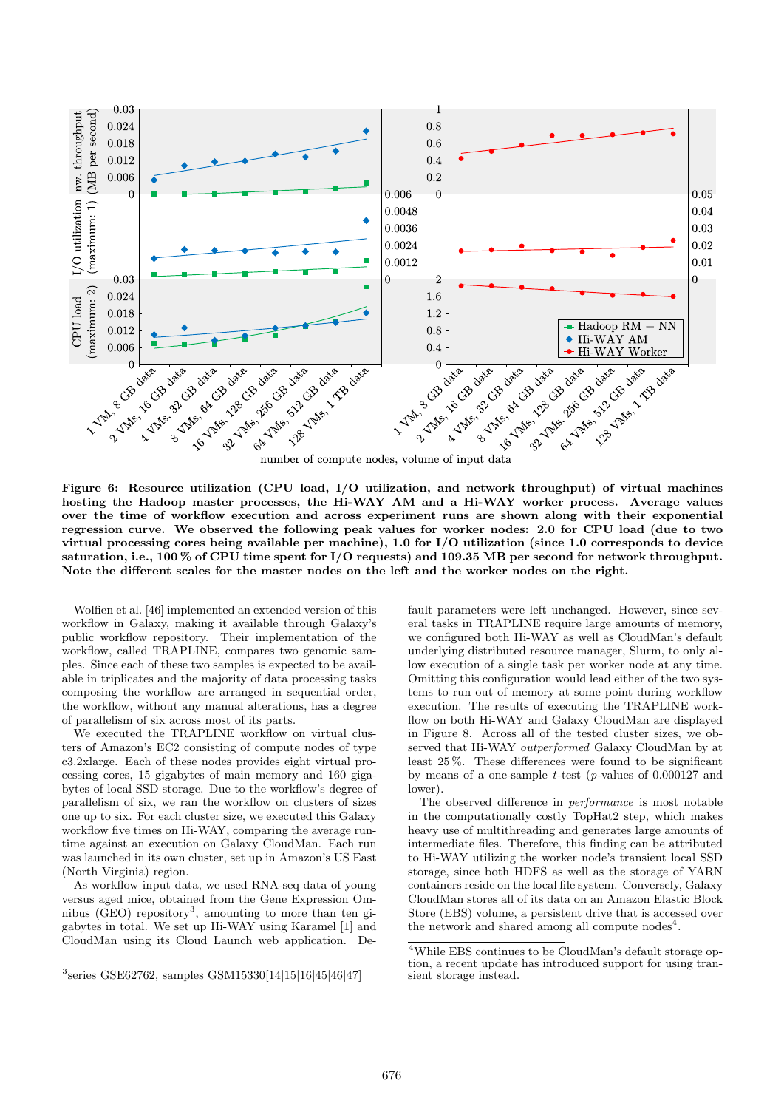

number of compute nodes, volume of input data

Figure 6: Resource utilization (CPU load, I/O utilization, and network throughput) of virtual machines hosting the Hadoop master processes, the Hi-WAY AM and a Hi-WAY worker process. Average values over the time of workflow execution and across experiment runs are shown along with their exponential regression curve. We observed the following peak values for worker nodes: 2.0 for CPU load (due to two virtual processing cores being available per machine), 1.0 for I/O utilization (since 1.0 corresponds to device saturation, i.e., 100 % of CPU time spent for I/O requests) and 109.35 MB per second for network throughput. Note the different scales for the master nodes on the left and the worker nodes on the right.

Wolfien et al. [46] implemented an extended version of this workflow in Galaxy, making it available through Galaxy's public workflow repository. Their implementation of the workflow, called TRAPLINE, compares two genomic samples. Since each of these two samples is expected to be available in triplicates and the majority of data processing tasks composing the workflow are arranged in sequential order, the workflow, without any manual alterations, has a degree of parallelism of six across most of its parts.

We executed the TRAPLINE workflow on virtual clusters of Amazon's EC2 consisting of compute nodes of type c3.2xlarge. Each of these nodes provides eight virtual processing cores, 15 gigabytes of main memory and 160 gigabytes of local SSD storage. Due to the workflow's degree of parallelism of six, we ran the workflow on clusters of sizes one up to six. For each cluster size, we executed this Galaxy workflow five times on Hi-WAY, comparing the average runtime against an execution on Galaxy CloudMan. Each run was launched in its own cluster, set up in Amazon's US East (North Virginia) region.

As workflow input data, we used RNA-seq data of young versus aged mice, obtained from the Gene Expression Omnibus (GEO) repository<sup>3</sup>, amounting to more than ten gigabytes in total. We set up Hi-WAY using Karamel [1] and CloudMan using its Cloud Launch web application. Default parameters were left unchanged. However, since several tasks in TRAPLINE require large amounts of memory, we configured both Hi-WAY as well as CloudMan's default underlying distributed resource manager, Slurm, to only allow execution of a single task per worker node at any time. Omitting this configuration would lead either of the two systems to run out of memory at some point during workflow execution. The results of executing the TRAPLINE workflow on both Hi-WAY and Galaxy CloudMan are displayed in Figure 8. Across all of the tested cluster sizes, we observed that Hi-WAY outperformed Galaxy CloudMan by at least 25 %. These differences were found to be significant by means of a one-sample  $t$ -test (p-values of 0.000127 and lower).

The observed difference in performance is most notable in the computationally costly TopHat2 step, which makes heavy use of multithreading and generates large amounts of intermediate files. Therefore, this finding can be attributed to Hi-WAY utilizing the worker node's transient local SSD storage, since both HDFS as well as the storage of YARN containers reside on the local file system. Conversely, Galaxy CloudMan stores all of its data on an Amazon Elastic Block Store (EBS) volume, a persistent drive that is accessed over the network and shared among all compute nodes<sup>4</sup>.

<sup>3</sup> series GSE62762, samples GSM15330[14|15|16|45|46|47]

 ${}^{4}\mathrm{While}$  EBS continues to be CloudMan's default storage option, a recent update has introduced support for using transient storage instead.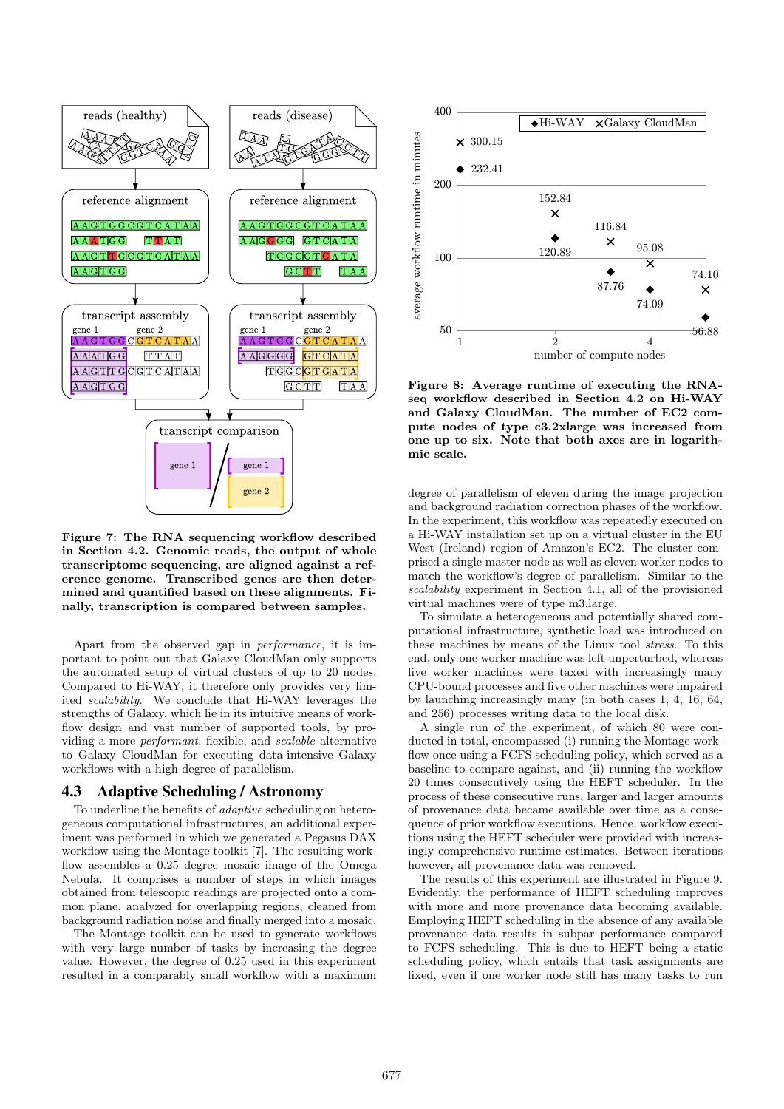

Figure 7: The RNA sequencing workflow described in Section 4.2. Genomic reads, the output of whole transcriptome sequencing, are aligned against a reference genome. Transcribed genes are then determined and quantified based on these alignments. Finally, transcription is compared between samples.

Apart from the observed gap in performance, it is important to point out that Galaxy CloudMan only supports the automated setup of virtual clusters of up to 20 nodes. Compared to Hi-WAY, it therefore only provides very limited scalability. We conclude that Hi-WAY leverages the strengths of Galaxy, which lie in its intuitive means of workflow design and vast number of supported tools, by providing a more performant, flexible, and scalable alternative to Galaxy CloudMan for executing data-intensive Galaxy workflows with a high degree of parallelism.

## 4.3 Adaptive Scheduling / Astronomy

To underline the benefits of adaptive scheduling on heterogeneous computational infrastructures, an additional experiment was performed in which we generated a Pegasus DAX workflow using the Montage toolkit [7]. The resulting workflow assembles a 0.25 degree mosaic image of the Omega Nebula. It comprises a number of steps in which images obtained from telescopic readings are projected onto a common plane, analyzed for overlapping regions, cleaned from background radiation noise and finally merged into a mosaic.

The Montage toolkit can be used to generate workflows with very large number of tasks by increasing the degree value. However, the degree of 0.25 used in this experiment resulted in a comparably small workflow with a maximum



Figure 8: Average runtime of executing the RNAseq workflow described in Section 4.2 on Hi-WAY and Galaxy CloudMan. The number of EC2 compute nodes of type c3.2xlarge was increased from one up to six. Note that both axes are in logarithmic scale.

degree of parallelism of eleven during the image projection and background radiation correction phases of the workflow. In the experiment, this workflow was repeatedly executed on a Hi-WAY installation set up on a virtual cluster in the EU West (Ireland) region of Amazon's EC2. The cluster comprised a single master node as well as eleven worker nodes to match the workflow's degree of parallelism. Similar to the scalability experiment in Section 4.1, all of the provisioned virtual machines were of type m3.large.

To simulate a heterogeneous and potentially shared computational infrastructure, synthetic load was introduced on these machines by means of the Linux tool stress. To this end, only one worker machine was left unperturbed, whereas five worker machines were taxed with increasingly many CPU-bound processes and five other machines were impaired by launching increasingly many (in both cases 1, 4, 16, 64, and 256) processes writing data to the local disk.

A single run of the experiment, of which 80 were conducted in total, encompassed (i) running the Montage workflow once using a FCFS scheduling policy, which served as a baseline to compare against, and (ii) running the workflow 20 times consecutively using the HEFT scheduler. In the process of these consecutive runs, larger and larger amounts of provenance data became available over time as a consequence of prior workflow executions. Hence, workflow executions using the HEFT scheduler were provided with increasingly comprehensive runtime estimates. Between iterations however, all provenance data was removed.

The results of this experiment are illustrated in Figure 9. Evidently, the performance of HEFT scheduling improves with more and more provenance data becoming available. Employing HEFT scheduling in the absence of any available provenance data results in subpar performance compared to FCFS scheduling. This is due to HEFT being a static scheduling policy, which entails that task assignments are fixed, even if one worker node still has many tasks to run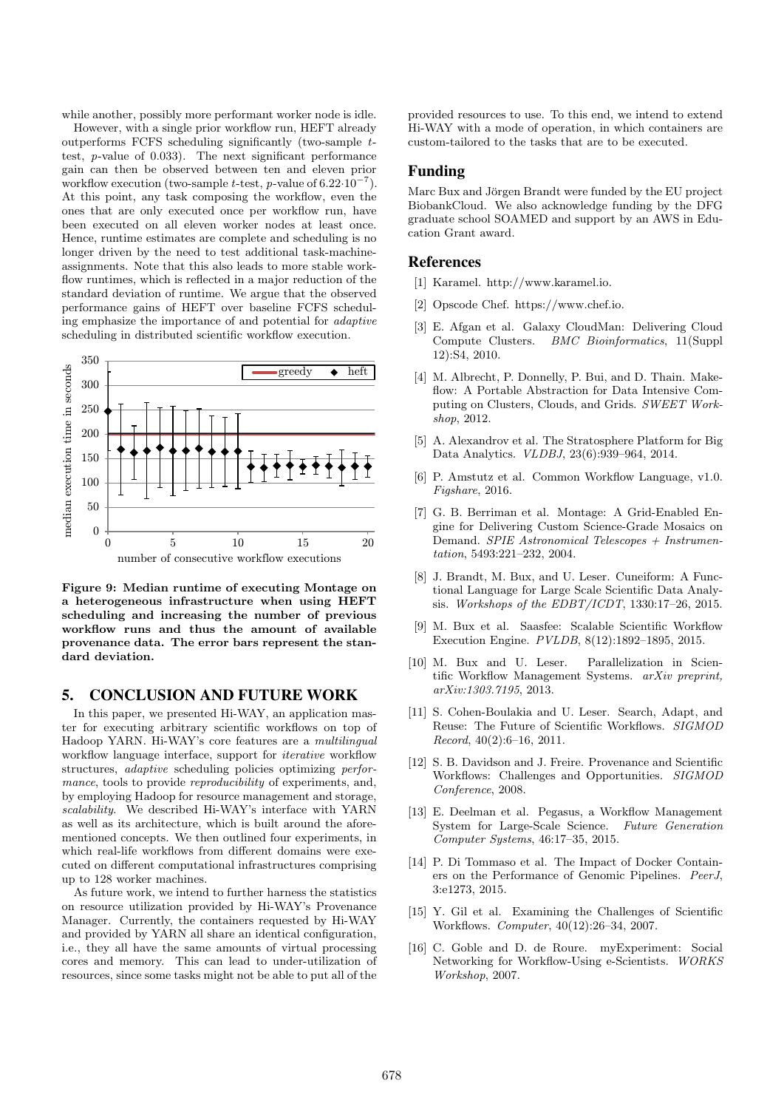while another, possibly more performant worker node is idle.

However, with a single prior workflow run, HEFT already outperforms FCFS scheduling significantly (two-sample ttest, p-value of 0.033). The next significant performance gain can then be observed between ten and eleven prior workflow execution (two-sample t-test, p-value of  $6.22 \cdot 10^{-7}$ ). At this point, any task composing the workflow, even the ones that are only executed once per workflow run, have been executed on all eleven worker nodes at least once. Hence, runtime estimates are complete and scheduling is no longer driven by the need to test additional task-machineassignments. Note that this also leads to more stable workflow runtimes, which is reflected in a major reduction of the standard deviation of runtime. We argue that the observed performance gains of HEFT over baseline FCFS scheduling emphasize the importance of and potential for adaptive scheduling in distributed scientific workflow execution.



Figure 9: Median runtime of executing Montage on a heterogeneous infrastructure when using HEFT scheduling and increasing the number of previous workflow runs and thus the amount of available provenance data. The error bars represent the standard deviation.

# 5. CONCLUSION AND FUTURE WORK

In this paper, we presented Hi-WAY, an application master for executing arbitrary scientific workflows on top of Hadoop YARN. Hi-WAY's core features are a multilingual workflow language interface, support for *iterative* workflow structures, adaptive scheduling policies optimizing performance, tools to provide *reproducibility* of experiments, and, by employing Hadoop for resource management and storage, scalability. We described Hi-WAY's interface with YARN as well as its architecture, which is built around the aforementioned concepts. We then outlined four experiments, in which real-life workflows from different domains were executed on different computational infrastructures comprising up to 128 worker machines.

As future work, we intend to further harness the statistics on resource utilization provided by Hi-WAY's Provenance Manager. Currently, the containers requested by Hi-WAY and provided by YARN all share an identical configuration, i.e., they all have the same amounts of virtual processing cores and memory. This can lead to under-utilization of resources, since some tasks might not be able to put all of the

provided resources to use. To this end, we intend to extend Hi-WAY with a mode of operation, in which containers are custom-tailored to the tasks that are to be executed.

## Funding

Marc Bux and Jörgen Brandt were funded by the EU project BiobankCloud. We also acknowledge funding by the DFG graduate school SOAMED and support by an AWS in Education Grant award.

#### References

- [1] Karamel. http://www.karamel.io.
- [2] Opscode Chef. https://www.chef.io.
- [3] E. Afgan et al. Galaxy CloudMan: Delivering Cloud Compute Clusters. BMC Bioinformatics, 11(Suppl 12):S4, 2010.
- [4] M. Albrecht, P. Donnelly, P. Bui, and D. Thain. Makeflow: A Portable Abstraction for Data Intensive Computing on Clusters, Clouds, and Grids. SWEET Workshop, 2012.
- [5] A. Alexandrov et al. The Stratosphere Platform for Big Data Analytics. VLDBJ, 23(6):939–964, 2014.
- [6] P. Amstutz et al. Common Workflow Language, v1.0. Figshare, 2016.
- [7] G. B. Berriman et al. Montage: A Grid-Enabled Engine for Delivering Custom Science-Grade Mosaics on Demand. SPIE Astronomical Telescopes + Instrumentation, 5493:221–232, 2004.
- [8] J. Brandt, M. Bux, and U. Leser. Cuneiform: A Functional Language for Large Scale Scientific Data Analysis. Workshops of the EDBT/ICDT, 1330:17–26, 2015.
- [9] M. Bux et al. Saasfee: Scalable Scientific Workflow Execution Engine. PVLDB, 8(12):1892–1895, 2015.
- [10] M. Bux and U. Leser. Parallelization in Scientific Workflow Management Systems. arXiv preprint, arXiv:1303.7195, 2013.
- [11] S. Cohen-Boulakia and U. Leser. Search, Adapt, and Reuse: The Future of Scientific Workflows. SIGMOD Record, 40(2):6–16, 2011.
- [12] S. B. Davidson and J. Freire. Provenance and Scientific Workflows: Challenges and Opportunities. SIGMOD Conference, 2008.
- [13] E. Deelman et al. Pegasus, a Workflow Management System for Large-Scale Science. Future Generation Computer Systems, 46:17–35, 2015.
- [14] P. Di Tommaso et al. The Impact of Docker Containers on the Performance of Genomic Pipelines. PeerJ, 3:e1273, 2015.
- [15] Y. Gil et al. Examining the Challenges of Scientific Workflows. Computer, 40(12):26–34, 2007.
- [16] C. Goble and D. de Roure. myExperiment: Social Networking for Workflow-Using e-Scientists. WORKS Workshop, 2007.